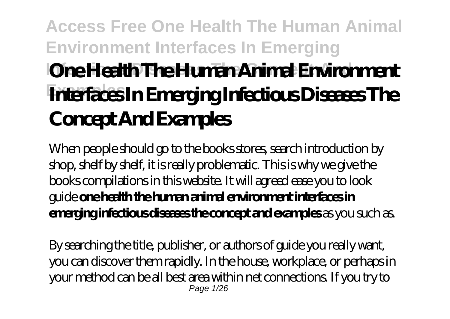# **Access Free One Health The Human Animal Environment Interfaces In Emerging IOne Health The Human Animal Environment Examples Interfaces In Emerging Infectious Diseases The Concept And Examples**

When people should go to the books stores, search introduction by shop, shelf by shelf, it is really problematic. This is why we give the books compilations in this website. It will agreed ease you to look guide **one health the human animal environment interfaces in emerging infectious diseases the concept and examples** as you such as.

By searching the title, publisher, or authors of guide you really want, you can discover them rapidly. In the house, workplace, or perhaps in your method can be all best area within net connections. If you try to Page 1/26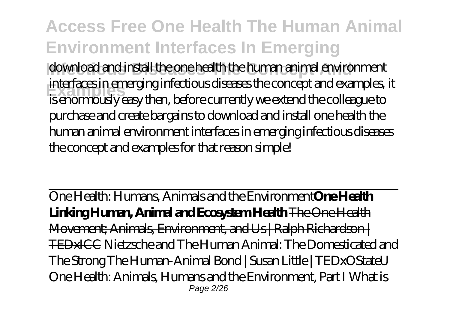**Access Free One Health The Human Animal Environment Interfaces In Emerging** download and install the one health the human animal environment **Examples** is enormously easy then, before currently we extend the colleague to interfaces in emerging infectious diseases the concept and examples, it purchase and create bargains to download and install one health the human animal environment interfaces in emerging infectious diseases the concept and examples for that reason simple!

One Health: Humans, Animals and the Environment**One Health Linking Human, Animal and Ecosystem Health** The One Health Movement; Animals, Environment, and Us | Ralph Richardson | TEDxICC *Nietzsche and The Human Animal: The Domesticated and The Strong The Human-Animal Bond | Susan Little | TEDxOStateU* One Health: Animals, Humans and the Environment, Part I *What is* Page 2/26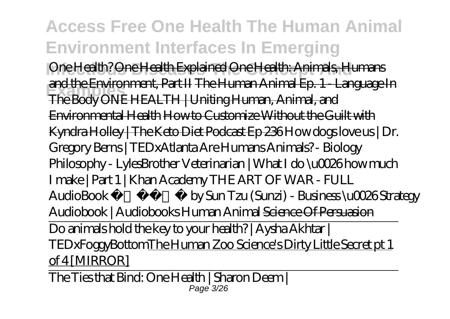**Access Free One Health The Human Animal Environment Interfaces In Emerging** *Ine Health? One Health Explained One Health: Animals, Humans* **Examples** The Body ONE HEALTH | Uniting Human, Animal, and and the Environment, Part II The Human Animal Ep. 1 - Language In Environmental Health How to Customize Without the Guilt with Kyndra Holley | The Keto Diet Podcast Ep 236 *How dogs love us | Dr. Gregory Berns | TEDxAtlanta* Are Humans Animals? - Biology Philosophy - LylesBrother *Veterinarian | What I do \u0026 how much I make | Part 1 | Khan Academy* THE ART OF WAR - FULL AudioBook by Sun Tzu (Sunzi) - Business \u0026 Strategy Audiobook | Audiobooks *Human Animal* Science Of Persuasion Do animals hold the key to your health? | Aysha Akhtar | TEDxFoggyBottomThe Human Zoo Science's Dirty Little Secret pt 1 of 4 [MIRROR]

The Ties that Bind: One Health | Sharon Deem | Page 3/26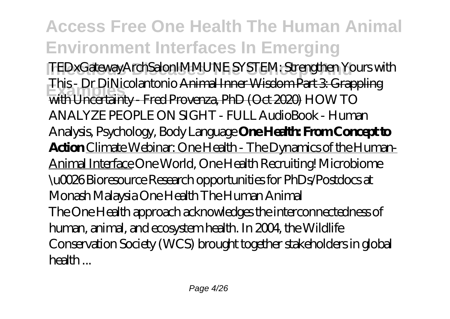**Access Free One Health The Human Animal Environment Interfaces In Emerging Infectious Diseases The Concept And** TEDxGatewayArchSalon*IMMUNE SYSTEM: Strengthen Yours with* **Examples** with Uncertainty - Fred Provenza, PhD (Oct 2020) *HOW TO This - Dr DiNicolantonio* Animal Inner Wisdom Part 3: Grappling *ANALYZE PEOPLE ON SIGHT - FULL AudioBook - Human Analysis, Psychology, Body Language* **One Health: From Concept to Action** Climate Webinar: One Health - The Dynamics of the Human-Animal Interface *One World, One Health Recruiting! Microbiome \u0026 Bioresource Research opportunities for PhDs/Postdocs at Monash Malaysia* One Health The Human Animal The One Health approach acknowledges the interconnectedness of human, animal, and ecosystem health. In 2004, the Wildlife Conservation Society (WCS) brought together stakeholders in global health ...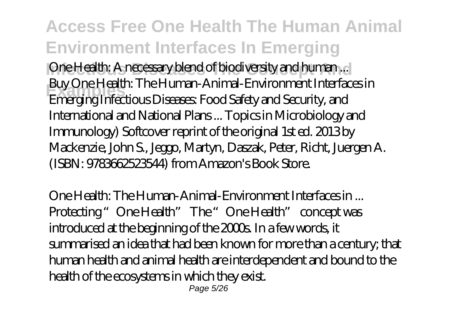**Access Free One Health The Human Animal Environment Interfaces In Emerging** One Health: A necessary blend of biodiversity and human ... **Examples** Emerging Infectious Diseases: Food Safety and Security, and Buy One Health: The Human-Animal-Environment Interfaces in International and National Plans ... Topics in Microbiology and Immunology) Softcover reprint of the original 1st ed. 2013 by Mackenzie, John S., Jeggo, Martyn, Daszak, Peter, Richt, Juergen A. (ISBN: 9783662523544) from Amazon's Book Store.

One Health: The Human-Animal-Environment Interfaces in ... Protecting "One Health" The "One Health" concept was introduced at the beginning of the 2000s. In a few words, it summarised an idea that had been known for more than a century; that human health and animal health are interdependent and bound to the health of the ecosystems in which they exist. Page 5/26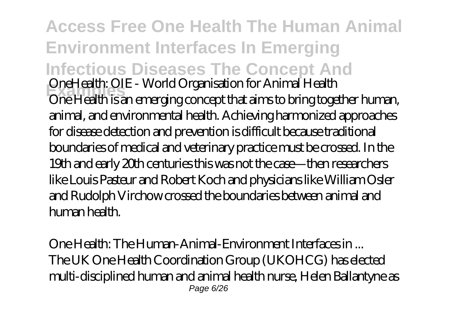**Access Free One Health The Human Animal Environment Interfaces In Emerging Infectious Diseases The Concept And Examples** OneHealth: OIE - World Organisation for Animal Health One Health is an emerging concept that aims to bring together human, animal, and environmental health. Achieving harmonized approaches for disease detection and prevention is difficult because traditional boundaries of medical and veterinary practice must be crossed. In the 19th and early 20th centuries this was not the case—then researchers like Louis Pasteur and Robert Koch and physicians like William Osler and Rudolph Virchow crossed the boundaries between animal and human health.

One Health: The Human-Animal-Environment Interfaces in ... The UK One Health Coordination Group (UKOHCG) has elected multi-disciplined human and animal health nurse, Helen Ballantyne as Page 6/26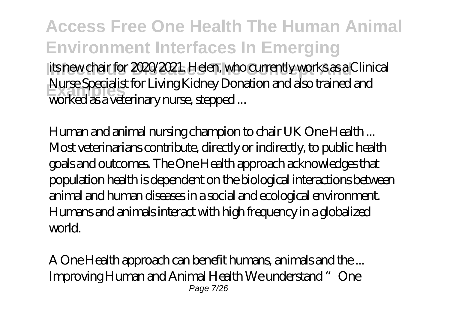**Access Free One Health The Human Animal Environment Interfaces In Emerging** its new chair for 2020/2021. Helen, who currently works as a Clinical **Examples** worked as a veterinary nurse, stepped ... Nurse Specialist for Living Kidney Donation and also trained and

Human and animal nursing champion to chair UK One Health ... Most veterinarians contribute, directly or indirectly, to public health goals and outcomes. The One Health approach acknowledges that population health is dependent on the biological interactions between animal and human diseases in a social and ecological environment. Humans and animals interact with high frequency in a globalized world.

A One Health approach can benefit humans, animals and the ... Improving Human and Animal Health We understand "One Page 7/26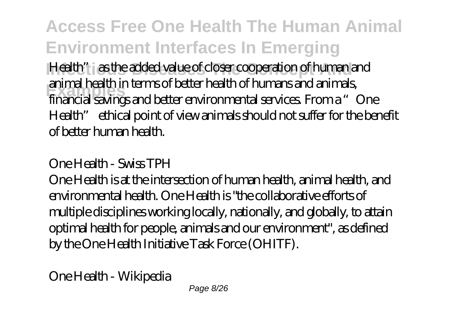**Access Free One Health The Human Animal Environment Interfaces In Emerging Infection 2015** Health" as the added value of closer cooperation of human and **Examples** financial savings and better environmental services. From a "One animal health in terms of better health of humans and animals, Health" ethical point of view animals should not suffer for the benefit of better human health.

#### One Health - Swiss TPH

One Health is at the intersection of human health, animal health, and environmental health. One Health is "the collaborative efforts of multiple disciplines working locally, nationally, and globally, to attain optimal health for people, animals and our environment", as defined by the One Health Initiative Task Force (OHITF).

One Health - Wikipedia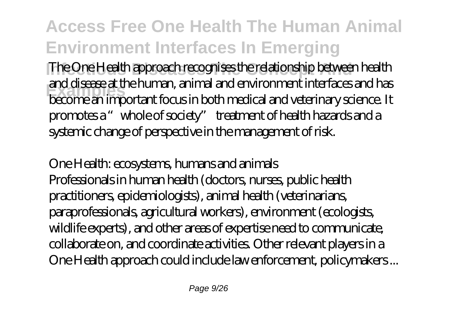The One Health approach recognises the relationship between health **Examples** become an important focus in both medical and veterinary science. It and disease at the human, animal and environment interfaces and has promotes a "whole of society" treatment of health hazards and a systemic change of perspective in the management of risk.

One Health: ecosystems, humans and animals Professionals in human health (doctors, nurses, public health practitioners, epidemiologists), animal health (veterinarians, paraprofessionals, agricultural workers), environment (ecologists, wildlife experts), and other areas of expertise need to communicate, collaborate on, and coordinate activities. Other relevant players in a One Health approach could include law enforcement, policymakers ...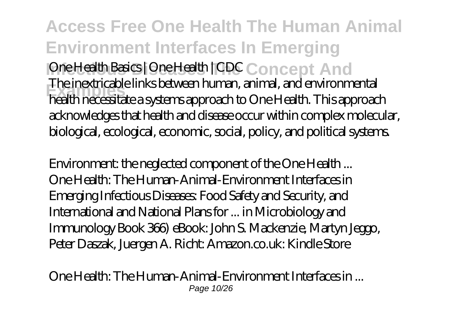**Access Free One Health The Human Animal Environment Interfaces In Emerging Independing Discussion Concept And Examples** health necessitate a systems approach to One Health. This approach The inextricable links between human, animal, and environmental acknowledges that health and disease occur within complex molecular, biological, ecological, economic, social, policy, and political systems.

Environment: the neglected component of the One Health ... One Health: The Human-Animal-Environment Interfaces in Emerging Infectious Diseases: Food Safety and Security, and International and National Plans for ... in Microbiology and Immunology Book 366) eBook: John S. Mackenzie, Martyn Jeggo, Peter Daszak, Juergen A. Richt: Amazon.co.uk: Kindle Store

One Health: The Human-Animal-Environment Interfaces in ... Page 10/26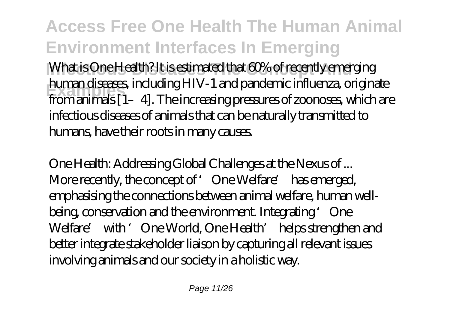**Access Free One Health The Human Animal Environment Interfaces In Emerging** What is One Health? It is estimated that 60% of recently emerging **Examples** from animals [1–4]. The increasing pressures of zoonoses, which are human diseases, including HIV-1 and pandemic influenza, originate infectious diseases of animals that can be naturally transmitted to humans, have their roots in many causes.

One Health: Addressing Global Challenges at the Nexus of ... More recently, the concept of 'One Welfare' has emerged, emphasising the connections between animal welfare, human wellbeing, conservation and the environment. Integrating 'One Welfare' with 'One World, One Health' helps strengthen and better integrate stakeholder liaison by capturing all relevant issues involving animals and our society in a holistic way.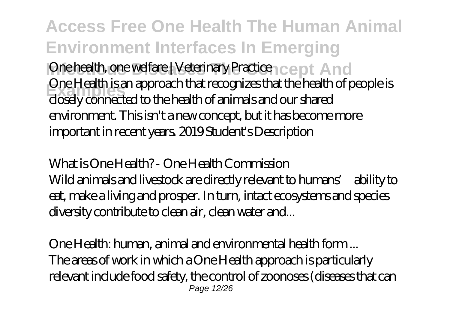**Access Free One Health The Human Animal Environment Interfaces In Emerging** One health, one welfare | Veterinary Practice <sub>1 CC</sub> pt And **Examples** closely connected to the health of animals and our shared One Health is an approach that recognizes that the health of people is environment. This isn't a new concept, but it has become more important in recent years. 2019 Student's Description

What is One Health? - One Health Commission Wild animals and livestock are directly relevant to humans' ability to eat, make a living and prosper. In turn, intact ecosystems and species diversity contribute to clean air, clean water and...

One Health: human, animal and environmental health form ... The areas of work in which a One Health approach is particularly relevant include food safety, the control of zoonoses (diseases that can Page 12/26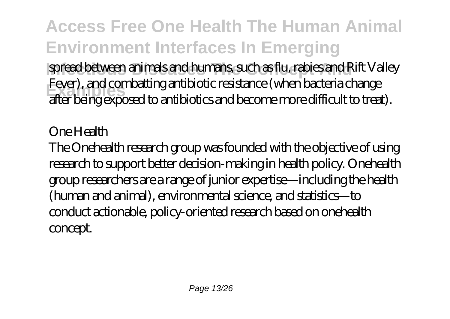**Access Free One Health The Human Animal Environment Interfaces In Emerging Infectious Diseases Andrew Spread between animals and humans, such as flu, rabies and Rift Valley Examples** after being exposed to antibiotics and become more difficult to treat). Fever), and combatting antibiotic resistance (when bacteria change

One Health

The Onehealth research group was founded with the objective of using research to support better decision-making in health policy. Onehealth group researchers are a range of junior expertise—including the health (human and animal), environmental science, and statistics—to conduct actionable, policy-oriented research based on onehealth concept.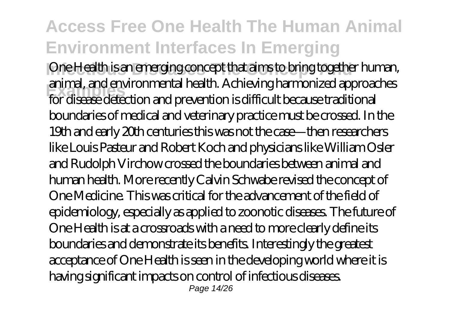One Health is an emerging concept that aims to bring together human, **Examples** for disease detection and prevention is difficult because traditional animal, and environmental health. Achieving harmonized approaches boundaries of medical and veterinary practice must be crossed. In the 19th and early 20th centuries this was not the case—then researchers like Louis Pasteur and Robert Koch and physicians like William Osler and Rudolph Virchow crossed the boundaries between animal and human health. More recently Calvin Schwabe revised the concept of One Medicine. This was critical for the advancement of the field of epidemiology, especially as applied to zoonotic diseases. The future of One Health is at a crossroads with a need to more clearly define its boundaries and demonstrate its benefits. Interestingly the greatest acceptance of One Health is seen in the developing world where it is having significant impacts on control of infectious diseases. Page 14/26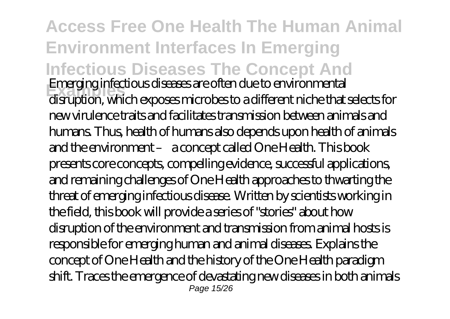**Access Free One Health The Human Animal Environment Interfaces In Emerging Infectious Diseases The Concept And Examples** Emerging infectious diseases are often due to environmental disruption, which exposes microbes to a different niche that selects for new virulence traits and facilitates transmission between animals and humans. Thus, health of humans also depends upon health of animals and the environment – a concept called One Health. This book presents core concepts, compelling evidence, successful applications, and remaining challenges of One Health approaches to thwarting the threat of emerging infectious disease. Written by scientists working in the field, this book will provide a series of "stories" about how disruption of the environment and transmission from animal hosts is responsible for emerging human and animal diseases. Explains the concept of One Health and the history of the One Health paradigm shift. Traces the emergence of devastating new diseases in both animals Page 15/26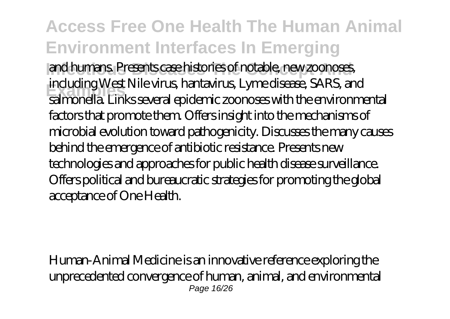**Access Free One Health The Human Animal Environment Interfaces In Emerging** Infectious Diseases Dispositions of notable, new zoonoses, **Examples** salmonella. Links several epidemic zoonoses with the environmental including West Nile virus, hantavirus, Lyme disease, SARS, and factors that promote them. Offers insight into the mechanisms of microbial evolution toward pathogenicity. Discusses the many causes behind the emergence of antibiotic resistance. Presents new technologies and approaches for public health disease surveillance. Offers political and bureaucratic strategies for promoting the global acceptance of One Health.

Human-Animal Medicine is an innovative reference exploring the unprecedented convergence of human, animal, and environmental Page 16/26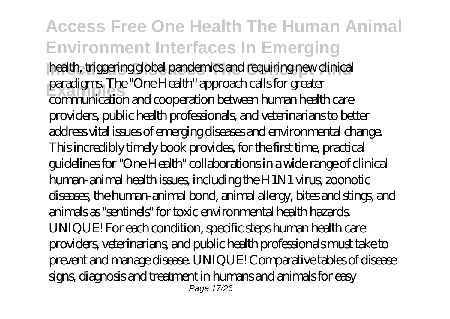#### **Access Free One Health The Human Animal Environment Interfaces In Emerging** health, triggering global pandemics and requiring new clinical **Examples** communication and cooperation between human health care paradigms. The "One Health" approach calls for greater providers, public health professionals, and veterinarians to better address vital issues of emerging diseases and environmental change. This incredibly timely book provides, for the first time, practical guidelines for "One Health" collaborations in a wide range of clinical human-animal health issues, including the H1N1 virus, zoonotic diseases, the human-animal bond, animal allergy, bites and stings, and animals as "sentinels" for toxic environmental health hazards. UNIQUE! For each condition, specific steps human health care providers, veterinarians, and public health professionals must take to prevent and manage disease. UNIQUE! Comparative tables of disease signs, diagnosis and treatment in humans and animals for easy Page 17/26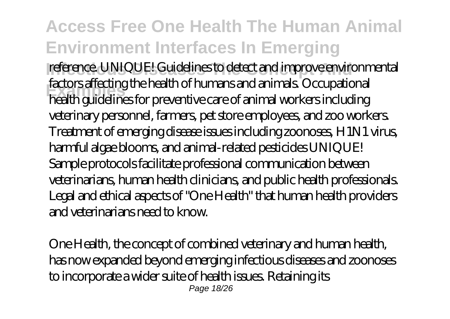**Access Free One Health The Human Animal Environment Interfaces In Emerging** reference. UNIQUE! Guidelines to detect and improve environmental **Examples** health guidelines for preventive care of animal workers including factors affecting the health of humans and animals. Occupational veterinary personnel, farmers, pet store employees, and zoo workers. Treatment of emerging disease issues including zoonoses, H1N1 virus, harmful algae blooms, and animal-related pesticides UNIQUE! Sample protocols facilitate professional communication between veterinarians, human health clinicians, and public health professionals. Legal and ethical aspects of "One Health" that human health providers and veterinarians need to know.

One Health, the concept of combined veterinary and human health, has now expanded beyond emerging infectious diseases and zoonoses to incorporate a wider suite of health issues. Retaining its Page 18/26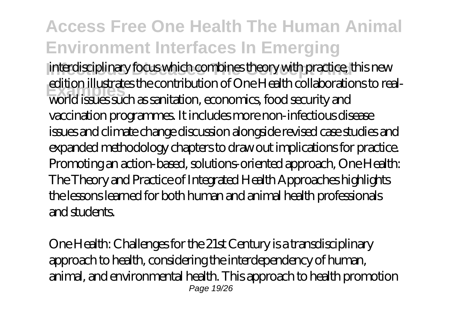interdisciplinary focus which combines theory with practice, this new **Examples** world issues such as sanitation, economics, food security and edition illustrates the contribution of One Health collaborations to realvaccination programmes. It includes more non-infectious disease issues and climate change discussion alongside revised case studies and expanded methodology chapters to draw out implications for practice. Promoting an action-based, solutions-oriented approach, One Health: The Theory and Practice of Integrated Health Approaches highlights the lessons learned for both human and animal health professionals and students.

One Health: Challenges for the 21st Century is a transdisciplinary approach to health, considering the interdependency of human, animal, and environmental health. This approach to health promotion Page 19/26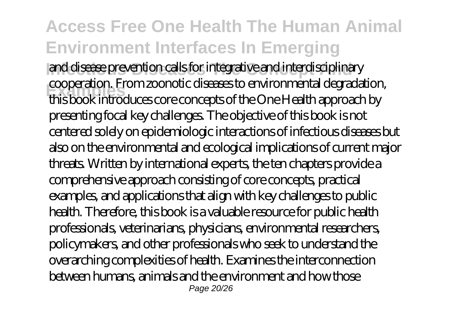#### **Access Free One Health The Human Animal Environment Interfaces In Emerging Infectious Diseases The Concept And** and disease prevention calls for integrative and interdisciplinary **Examples** this book introduces core concepts of the One Health approach by cooperation. From zoonotic diseases to environmental degradation, presenting focal key challenges. The objective of this book is not centered solely on epidemiologic interactions of infectious diseases but also on the environmental and ecological implications of current major threats. Written by international experts, the ten chapters provide a comprehensive approach consisting of core concepts, practical examples, and applications that align with key challenges to public health. Therefore, this book is a valuable resource for public health professionals, veterinarians, physicians, environmental researchers, policymakers, and other professionals who seek to understand the overarching complexities of health. Examines the interconnection between humans, animals and the environment and how those Page 20/26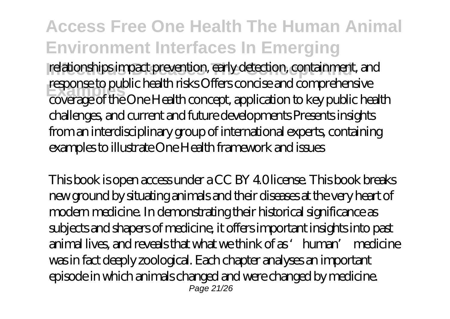relationships impact prevention, early detection, containment, and **Examples** coverage of the One Health concept, application to key public health response to public health risks Offers concise and comprehensive challenges, and current and future developments Presents insights from an interdisciplinary group of international experts, containing examples to illustrate One Health framework and issues

This book is open access under a CC BY 4.0 license. This book breaks new ground by situating animals and their diseases at the very heart of modern medicine. In demonstrating their historical significance as subjects and shapers of medicine, it offers important insights into past animal lives, and reveals that what we think of as 'human' medicine was in fact deeply zoological. Each chapter analyses an important episode in which animals changed and were changed by medicine. Page 21/26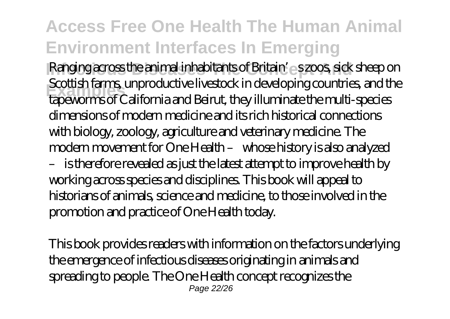**Ranging across the animal inhabitants of Britain's szoos, sick sheep on Examples** tapeworms of California and Beirut, they illuminate the multi-species Scottish farms, unproductive livestock in developing countries, and the dimensions of modern medicine and its rich historical connections with biology, zoology, agriculture and veterinary medicine. The modern movement for One Health – whose history is also analyzed – is therefore revealed as just the latest attempt to improve health by working across species and disciplines. This book will appeal to historians of animals, science and medicine, to those involved in the promotion and practice of One Health today.

This book provides readers with information on the factors underlying the emergence of infectious diseases originating in animals and spreading to people. The One Health concept recognizes the Page 22/26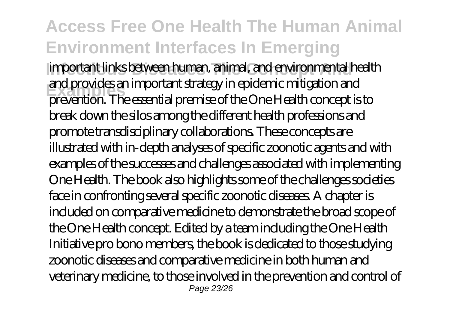#### **Access Free One Health The Human Animal Environment Interfaces In Emerging Infectious Diseases The Concept And** important links between human, animal, and environmental health **Examples** prevention. The essential premise of the One Health concept is to and provides an important strategy in epidemic mitigation and break down the silos among the different health professions and promote transdisciplinary collaborations. These concepts are illustrated with in-depth analyses of specific zoonotic agents and with examples of the successes and challenges associated with implementing One Health. The book also highlights some of the challenges societies face in confronting several specific zoonotic diseases. A chapter is included on comparative medicine to demonstrate the broad scope of the One Health concept. Edited by a team including the One Health Initiative pro bono members, the book is dedicated to those studying zoonotic diseases and comparative medicine in both human and veterinary medicine, to those involved in the prevention and control of Page 23/26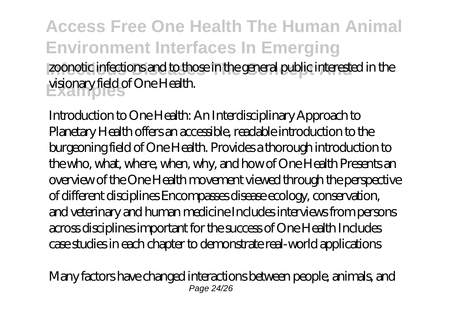#### **Access Free One Health The Human Animal Environment Interfaces In Emerging** zoonotic infections and to those in the general public interested in the **Examples** visionary field of One Health.

Introduction to One Health: An Interdisciplinary Approach to Planetary Health offers an accessible, readable introduction to the burgeoning field of One Health. Provides a thorough introduction to the who, what, where, when, why, and how of One Health Presents an overview of the One Health movement viewed through the perspective of different disciplines Encompasses disease ecology, conservation, and veterinary and human medicine Includes interviews from persons across disciplines important for the success of One Health Includes case studies in each chapter to demonstrate real-world applications

Many factors have changed interactions between people, animals, and Page 24/26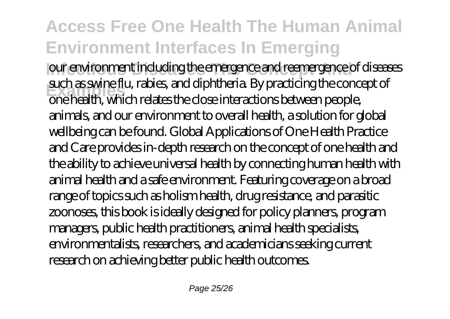**Infectious Diseases** our environment including the emergence and reemergence of diseases **Examples** one health, which relates the close interactions between people, such as swine flu, rabies, and diphtheria. By practicing the concept of animals, and our environment to overall health, a solution for global wellbeing can be found. Global Applications of One Health Practice and Care provides in-depth research on the concept of one health and the ability to achieve universal health by connecting human health with animal health and a safe environment. Featuring coverage on a broad range of topics such as holism health, drug resistance, and parasitic zoonoses, this book is ideally designed for policy planners, program managers, public health practitioners, animal health specialists, environmentalists, researchers, and academicians seeking current research on achieving better public health outcomes.